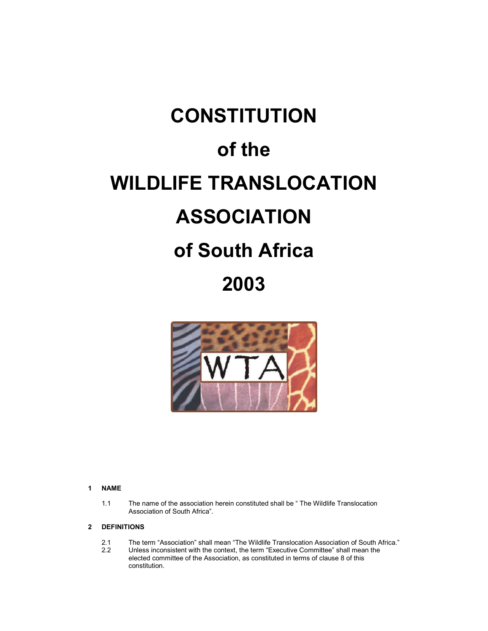# **CONSTITUTION of the WILDLIFE TRANSLOCATION ASSOCIATION of South Africa 2003**



#### **1 NAME**

1.1 The name of the association herein constituted shall be " The Wildlife Translocation Association of South Africa".

# **2 DEFINITIONS**

- 2.1 The term "Association" shall mean "The Wildlife Translocation Association of South Africa."<br>2.2 Unless inconsistent with the context the term "Executive Committee" shall mean the
- Unless inconsistent with the context, the term "Executive Committee" shall mean the elected committee of the Association, as constituted in terms of clause 8 of this constitution.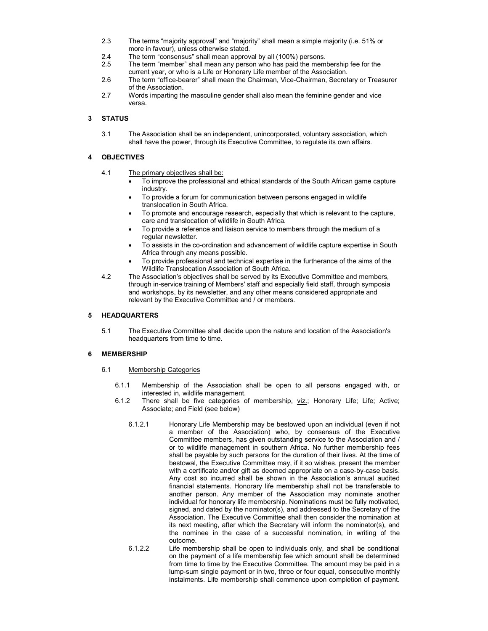- 2.3 The terms "majority approval" and "majority" shall mean a simple majority (i.e. 51% or more in favour), unless otherwise stated.
- 2.4 The term "consensus" shall mean approval by all (100%) persons.
- 2.5 The term "member" shall mean any person who has paid the membership fee for the current year, or who is a Life or Honorary Life member of the Association.
- 2.6 The term "office-bearer" shall mean the Chairman, Vice-Chairman, Secretary or Treasurer of the Association.
- 2.7 Words imparting the masculine gender shall also mean the feminine gender and vice versa.

# **3 STATUS**

3.1 The Association shall be an independent, unincorporated, voluntary association, which shall have the power, through its Executive Committee, to regulate its own affairs.

## **4 OBJECTIVES**

- 4.1 The primary objectives shall be:
	- To improve the professional and ethical standards of the South African game capture industry.
	- To provide a forum for communication between persons engaged in wildlife translocation in South Africa.
	- To promote and encourage research, especially that which is relevant to the capture, care and translocation of wildlife in South Africa.
	- To provide a reference and liaison service to members through the medium of a regular newsletter.
	- To assists in the co-ordination and advancement of wildlife capture expertise in South Africa through any means possible.
	- To provide professional and technical expertise in the furtherance of the aims of the Wildlife Translocation Association of South Africa.
- 4.2 The Association's objectives shall be served by its Executive Committee and members, through in-service training of Members' staff and especially field staff, through symposia and workshops, by its newsletter, and any other means considered appropriate and relevant by the Executive Committee and / or members.

## **5 HEADQUARTERS**

5.1 The Executive Committee shall decide upon the nature and location of the Association's headquarters from time to time.

#### **6 MEMBERSHIP**

- 6.1 Membership Categories
	- 6.1.1 Membership of the Association shall be open to all persons engaged with, or interested in, wildlife management.
	- 6.1.2 There shall be five categories of membership, viz.; Honorary Life; Life; Active; Associate; and Field (see below)
		- 6.1.2.1 Honorary Life Membership may be bestowed upon an individual (even if not a member of the Association) who, by consensus of the Executive Committee members, has given outstanding service to the Association and / or to wildlife management in southern Africa. No further membership fees shall be payable by such persons for the duration of their lives. At the time of bestowal, the Executive Committee may, if it so wishes, present the member with a certificate and/or gift as deemed appropriate on a case-by-case basis. Any cost so incurred shall be shown in the Association's annual audited financial statements. Honorary life membership shall not be transferable to another person. Any member of the Association may nominate another individual for honorary life membership. Nominations must be fully motivated, signed, and dated by the nominator(s), and addressed to the Secretary of the Association. The Executive Committee shall then consider the nomination at its next meeting, after which the Secretary will inform the nominator(s), and the nominee in the case of a successful nomination, in writing of the outcome.
		- 6.1.2.2 Life membership shall be open to individuals only, and shall be conditional on the payment of a life membership fee which amount shall be determined from time to time by the Executive Committee. The amount may be paid in a lump-sum single payment or in two, three or four equal, consecutive monthly instalments. Life membership shall commence upon completion of payment.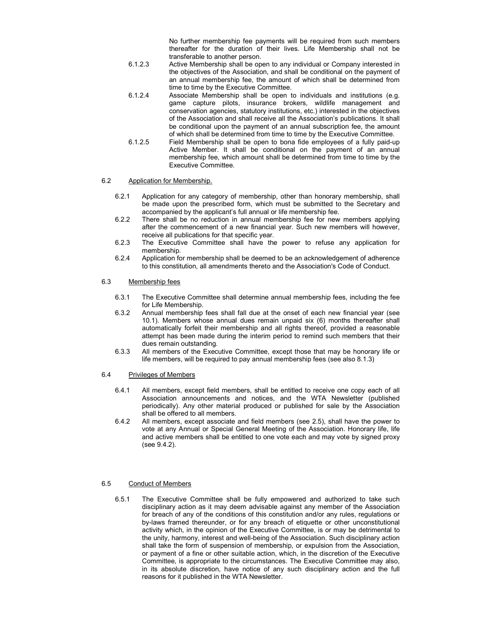No further membership fee payments will be required from such members thereafter for the duration of their lives. Life Membership shall not be transferable to another person.

- 6.1.2.3 Active Membership shall be open to any individual or Company interested in the objectives of the Association, and shall be conditional on the payment of an annual membership fee, the amount of which shall be determined from time to time by the Executive Committee.
- 6.1.2.4 Associate Membership shall be open to individuals and institutions (e.g. game capture pilots, insurance brokers, wildlife management and conservation agencies, statutory institutions, etc.) interested in the objectives of the Association and shall receive all the Association's publications. It shall be conditional upon the payment of an annual subscription fee, the amount of which shall be determined from time to time by the Executive Committee.
- 6.1.2.5 Field Membership shall be open to bona fide employees of a fully paid-up Active Member. It shall be conditional on the payment of an annual membership fee, which amount shall be determined from time to time by the Executive Committee.

## 6.2 Application for Membership.

- 6.2.1 Application for any category of membership, other than honorary membership, shall be made upon the prescribed form, which must be submitted to the Secretary and accompanied by the applicant's full annual or life membership fee.
- 6.2.2 There shall be no reduction in annual membership fee for new members applying after the commencement of a new financial year. Such new members will however, receive all publications for that specific year.
- 6.2.3 The Executive Committee shall have the power to refuse any application for membership.
- 6.2.4 Application for membership shall be deemed to be an acknowledgement of adherence to this constitution, all amendments thereto and the Association's Code of Conduct.

#### 6.3 Membership fees

- 6.3.1 The Executive Committee shall determine annual membership fees, including the fee for Life Membership.
- 6.3.2 Annual membership fees shall fall due at the onset of each new financial year (see 10.1). Members whose annual dues remain unpaid six (6) months thereafter shall automatically forfeit their membership and all rights thereof, provided a reasonable attempt has been made during the interim period to remind such members that their dues remain outstanding.
- 6.3.3 All members of the Executive Committee, except those that may be honorary life or life members, will be required to pay annual membership fees (see also 8.1.3)
- 6.4 Privileges of Members
	- 6.4.1 All members, except field members, shall be entitled to receive one copy each of all Association announcements and notices, and the WTA Newsletter (published periodically). Any other material produced or published for sale by the Association shall be offered to all members.
	- 6.4.2 All members, except associate and field members (see 2.5), shall have the power to vote at any Annual or Special General Meeting of the Association. Honorary life, life and active members shall be entitled to one vote each and may vote by signed proxy (see 9.4.2).

#### 6.5 Conduct of Members

6.5.1 The Executive Committee shall be fully empowered and authorized to take such disciplinary action as it may deem advisable against any member of the Association for breach of any of the conditions of this constitution and/or any rules, regulations or by-laws framed thereunder, or for any breach of etiquette or other unconstitutional activity which, in the opinion of the Executive Committee, is or may be detrimental to the unity, harmony, interest and well-being of the Association. Such disciplinary action shall take the form of suspension of membership, or expulsion from the Association, or payment of a fine or other suitable action, which, in the discretion of the Executive Committee, is appropriate to the circumstances. The Executive Committee may also, in its absolute discretion, have notice of any such disciplinary action and the full reasons for it published in the WTA Newsletter.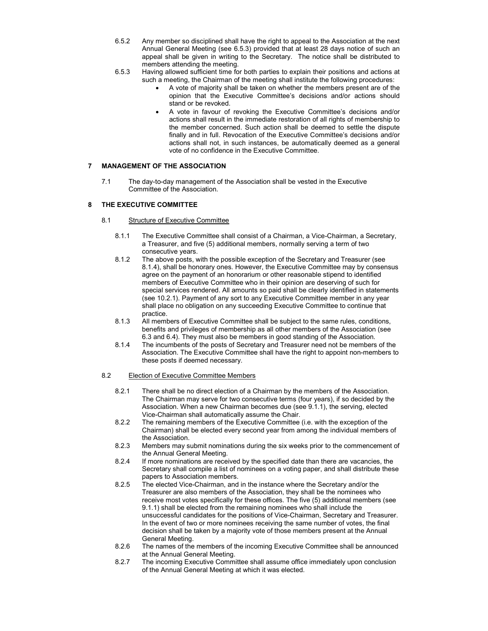- 6.5.2 Any member so disciplined shall have the right to appeal to the Association at the next Annual General Meeting (see 6.5.3) provided that at least 28 days notice of such an appeal shall be given in writing to the Secretary. The notice shall be distributed to members attending the meeting.
- 6.5.3 Having allowed sufficient time for both parties to explain their positions and actions at such a meeting, the Chairman of the meeting shall institute the following procedures:
	- A vote of majority shall be taken on whether the members present are of the opinion that the Executive Committee's decisions and/or actions should stand or be revoked.
	- A vote in favour of revoking the Executive Committee's decisions and/or actions shall result in the immediate restoration of all rights of membership to the member concerned. Such action shall be deemed to settle the dispute finally and in full. Revocation of the Executive Committee's decisions and/or actions shall not, in such instances, be automatically deemed as a general vote of no confidence in the Executive Committee.

## **7 MANAGEMENT OF THE ASSOCIATION**

7.1 The day-to-day management of the Association shall be vested in the Executive Committee of the Association.

# **8 THE EXECUTIVE COMMITTEE**

- 8.1 Structure of Executive Committee
	- 8.1.1 The Executive Committee shall consist of a Chairman, a Vice-Chairman, a Secretary, a Treasurer, and five (5) additional members, normally serving a term of two consecutive years.
	- 8.1.2 The above posts, with the possible exception of the Secretary and Treasurer (see 8.1.4), shall be honorary ones. However, the Executive Committee may by consensus agree on the payment of an honorarium or other reasonable stipend to identified members of Executive Committee who in their opinion are deserving of such for special services rendered. All amounts so paid shall be clearly identified in statements (see 10.2.1). Payment of any sort to any Executive Committee member in any year shall place no obligation on any succeeding Executive Committee to continue that practice.
	- 8.1.3 All members of Executive Committee shall be subject to the same rules, conditions, benefits and privileges of membership as all other members of the Association (see 6.3 and 6.4). They must also be members in good standing of the Association.
	- 8.1.4 The incumbents of the posts of Secretary and Treasurer need not be members of the Association. The Executive Committee shall have the right to appoint non-members to these posts if deemed necessary.

#### 8.2 Election of Executive Committee Members

- 8.2.1 There shall be no direct election of a Chairman by the members of the Association. The Chairman may serve for two consecutive terms (four years), if so decided by the Association. When a new Chairman becomes due (see 9.1.1), the serving, elected Vice-Chairman shall automatically assume the Chair.
- 8.2.2 The remaining members of the Executive Committee (i.e. with the exception of the Chairman) shall be elected every second year from among the individual members of the Association.
- 8.2.3 Members may submit nominations during the six weeks prior to the commencement of the Annual General Meeting.
- 8.2.4 If more nominations are received by the specified date than there are vacancies, the Secretary shall compile a list of nominees on a voting paper, and shall distribute these papers to Association members.
- 8.2.5 The elected Vice-Chairman, and in the instance where the Secretary and/or the Treasurer are also members of the Association, they shall be the nominees who receive most votes specifically for these offices. The five (5) additional members (see 9.1.1) shall be elected from the remaining nominees who shall include the unsuccessful candidates for the positions of Vice-Chairman, Secretary and Treasurer. In the event of two or more nominees receiving the same number of votes, the final decision shall be taken by a majority vote of those members present at the Annual General Meeting.
- 8.2.6 The names of the members of the incoming Executive Committee shall be announced at the Annual General Meeting.
- 8.2.7 The incoming Executive Committee shall assume office immediately upon conclusion of the Annual General Meeting at which it was elected.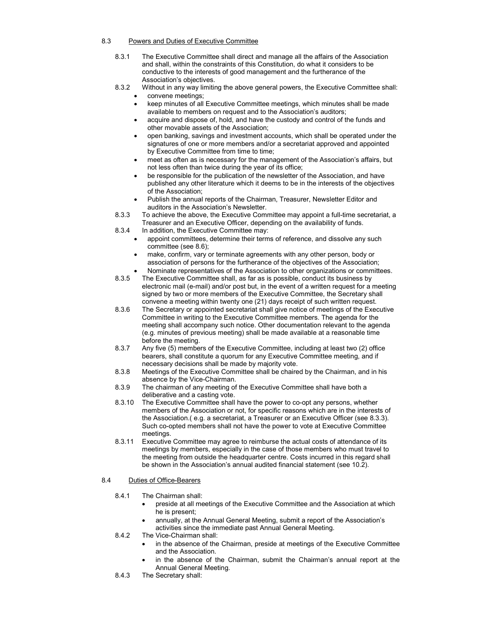## 8.3 Powers and Duties of Executive Committee

- 8.3.1 The Executive Committee shall direct and manage all the affairs of the Association and shall, within the constraints of this Constitution, do what it considers to be conductive to the interests of good management and the furtherance of the Association's objectives.
- 8.3.2 Without in any way limiting the above general powers, the Executive Committee shall:
	- convene meetings;
	- keep minutes of all Executive Committee meetings, which minutes shall be made available to members on request and to the Association's auditors;
	- acquire and dispose of, hold, and have the custody and control of the funds and other movable assets of the Association;
	- open banking, savings and investment accounts, which shall be operated under the signatures of one or more members and/or a secretariat approved and appointed by Executive Committee from time to time;
	- meet as often as is necessary for the management of the Association's affairs, but not less often than twice during the year of its office;
	- be responsible for the publication of the newsletter of the Association, and have published any other literature which it deems to be in the interests of the objectives of the Association;
	- Publish the annual reports of the Chairman, Treasurer, Newsletter Editor and auditors in the Association's Newsletter.
- 8.3.3 To achieve the above, the Executive Committee may appoint a full-time secretariat, a Treasurer and an Executive Officer, depending on the availability of funds.
- 8.3.4 In addition, the Executive Committee may:
	- appoint committees, determine their terms of reference, and dissolve any such committee (see 8.6);
	- make, confirm, vary or terminate agreements with any other person, body or association of persons for the furtherance of the objectives of the Association;
- Nominate representatives of the Association to other organizations or committees. 8.3.5 The Executive Committee shall, as far as is possible, conduct its business by electronic mail (e-mail) and/or post but, in the event of a written request for a meeting signed by two or more members of the Executive Committee, the Secretary shall
- convene a meeting within twenty one (21) days receipt of such written request. 8.3.6 The Secretary or appointed secretariat shall give notice of meetings of the Executive Committee in writing to the Executive Committee members. The agenda for the meeting shall accompany such notice. Other documentation relevant to the agenda (e.g. minutes of previous meeting) shall be made available at a reasonable time before the meeting.
- 8.3.7 Any five (5) members of the Executive Committee, including at least two (2) office bearers, shall constitute a quorum for any Executive Committee meeting, and if necessary decisions shall be made by majority vote.
- 8.3.8 Meetings of the Executive Committee shall be chaired by the Chairman, and in his absence by the Vice-Chairman.
- 8.3.9 The chairman of any meeting of the Executive Committee shall have both a deliberative and a casting vote.
- 8.3.10 The Executive Committee shall have the power to co-opt any persons, whether members of the Association or not, for specific reasons which are in the interests of the Association.( e.g. a secretariat, a Treasurer or an Executive Officer (see 8.3.3). Such co-opted members shall not have the power to vote at Executive Committee meetings.
- 8.3.11 Executive Committee may agree to reimburse the actual costs of attendance of its meetings by members, especially in the case of those members who must travel to the meeting from outside the headquarter centre. Costs incurred in this regard shall be shown in the Association's annual audited financial statement (see 10.2).

# 8.4 Duties of Office-Bearers

- 8.4.1 The Chairman shall:
	- preside at all meetings of the Executive Committee and the Association at which he is present;
	- annually, at the Annual General Meeting, submit a report of the Association's activities since the immediate past Annual General Meeting.
- 8.4.2 The Vice-Chairman shall:
	- in the absence of the Chairman, preside at meetings of the Executive Committee and the Association.
	- in the absence of the Chairman, submit the Chairman's annual report at the Annual General Meeting.
- 8.4.3 The Secretary shall: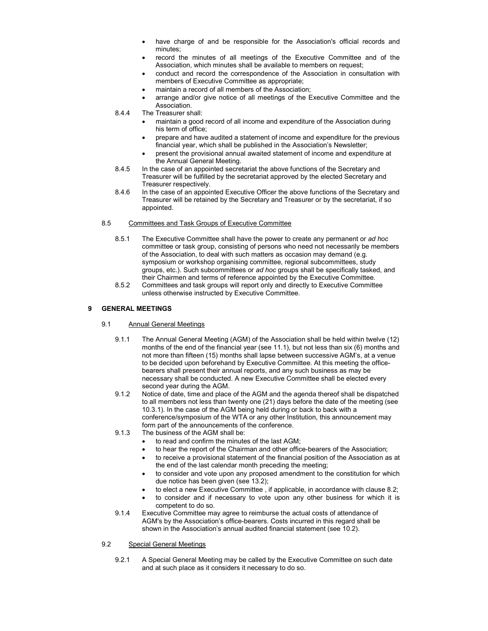- have charge of and be responsible for the Association's official records and minutes;
- record the minutes of all meetings of the Executive Committee and of the Association, which minutes shall be available to members on request;
- conduct and record the correspondence of the Association in consultation with members of Executive Committee as appropriate;
- maintain a record of all members of the Association;
- arrange and/or give notice of all meetings of the Executive Committee and the Association.
- 8.4.4 The Treasurer shall:
	- maintain a good record of all income and expenditure of the Association during his term of office;
	- prepare and have audited a statement of income and expenditure for the previous financial year, which shall be published in the Association's Newsletter;
	- present the provisional annual awaited statement of income and expenditure at the Annual General Meeting.
- 8.4.5 In the case of an appointed secretariat the above functions of the Secretary and Treasurer will be fulfilled by the secretariat approved by the elected Secretary and Treasurer respectively.
- 8.4.6 In the case of an appointed Executive Officer the above functions of the Secretary and Treasurer will be retained by the Secretary and Treasurer or by the secretariat, if so appointed.

#### 8.5 Committees and Task Groups of Executive Committee

- 8.5.1 The Executive Committee shall have the power to create any permanent or *ad hoc* committee or task group, consisting of persons who need not necessarily be members of the Association, to deal with such matters as occasion may demand (e.g. symposium or workshop organising committee, regional subcommittees, study groups, etc.). Such subcommittees or *ad hoc* groups shall be specifically tasked, and their Chairmen and terms of reference appointed by the Executive Committee.
- 8.5.2 Committees and task groups will report only and directly to Executive Committee unless otherwise instructed by Executive Committee.

## **9 GENERAL MEETINGS**

- 9.1 Annual General Meetings
	- 9.1.1 The Annual General Meeting (AGM) of the Association shall be held within twelve (12) months of the end of the financial year (see 11.1), but not less than six (6) months and not more than fifteen (15) months shall lapse between successive AGM's, at a venue to be decided upon beforehand by Executive Committee. At this meeting the officebearers shall present their annual reports, and any such business as may be necessary shall be conducted. A new Executive Committee shall be elected every second year during the AGM.
	- 9.1.2 Notice of date, time and place of the AGM and the agenda thereof shall be dispatched to all members not less than twenty one (21) days before the date of the meeting (see 10.3.1). In the case of the AGM being held during or back to back with a conference/symposium of the WTA or any other Institution, this announcement may form part of the announcements of the conference.
	- 9.1.3 The business of the AGM shall be:
		- to read and confirm the minutes of the last AGM;
		- to hear the report of the Chairman and other office-bearers of the Association;
		- to receive a provisional statement of the financial position of the Association as at the end of the last calendar month preceding the meeting;
		- to consider and vote upon any proposed amendment to the constitution for which due notice has been given (see 13.2);
		- to elect a new Executive Committee , if applicable, in accordance with clause 8.2;
		- to consider and if necessary to vote upon any other business for which it is competent to do so.
	- 9.1.4 Executive Committee may agree to reimburse the actual costs of attendance of AGM's by the Association's office-bearers. Costs incurred in this regard shall be shown in the Association's annual audited financial statement (see 10.2).

#### 9.2 Special General Meetings

9.2.1 A Special General Meeting may be called by the Executive Committee on such date and at such place as it considers it necessary to do so.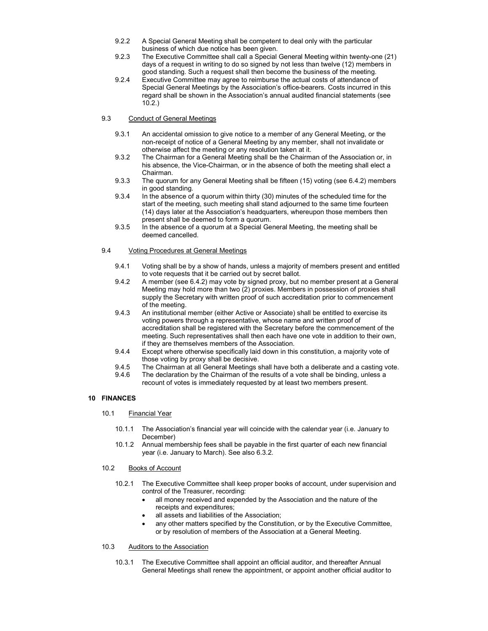- 9.2.2 A Special General Meeting shall be competent to deal only with the particular business of which due notice has been given.
- 9.2.3 The Executive Committee shall call a Special General Meeting within twenty-one (21) days of a request in writing to do so signed by not less than twelve (12) members in good standing. Such a request shall then become the business of the meeting.
- 9.2.4 Executive Committee may agree to reimburse the actual costs of attendance of Special General Meetings by the Association's office-bearers. Costs incurred in this regard shall be shown in the Association's annual audited financial statements (see 10.2.)

## 9.3 Conduct of General Meetings

- 9.3.1 An accidental omission to give notice to a member of any General Meeting, or the non-receipt of notice of a General Meeting by any member, shall not invalidate or otherwise affect the meeting or any resolution taken at it.
- 9.3.2 The Chairman for a General Meeting shall be the Chairman of the Association or, in his absence, the Vice-Chairman, or in the absence of both the meeting shall elect a Chairman.
- 9.3.3 The quorum for any General Meeting shall be fifteen (15) voting (see 6.4.2) members in good standing.
- 9.3.4 In the absence of a quorum within thirty (30) minutes of the scheduled time for the start of the meeting, such meeting shall stand adjourned to the same time fourteen (14) days later at the Association's headquarters, whereupon those members then present shall be deemed to form a quorum.
- 9.3.5 In the absence of a quorum at a Special General Meeting, the meeting shall be deemed cancelled.

## 9.4 Voting Procedures at General Meetings

- 9.4.1 Voting shall be by a show of hands, unless a majority of members present and entitled to vote requests that it be carried out by secret ballot.
- 9.4.2 A member (see 6.4.2) may vote by signed proxy, but no member present at a General Meeting may hold more than two (2) proxies. Members in possession of proxies shall supply the Secretary with written proof of such accreditation prior to commencement of the meeting.
- 9.4.3 An institutional member (either Active or Associate) shall be entitled to exercise its voting powers through a representative, whose name and written proof of accreditation shall be registered with the Secretary before the commencement of the meeting. Such representatives shall then each have one vote in addition to their own, if they are themselves members of the Association.
- 9.4.4 Except where otherwise specifically laid down in this constitution, a majority vote of those voting by proxy shall be decisive.
- 9.4.5 The Chairman at all General Meetings shall have both a deliberate and a casting vote.
- 9.4.6 The declaration by the Chairman of the results of a vote shall be binding, unless a recount of votes is immediately requested by at least two members present.

# **10 FINANCES**

# 10.1 Financial Year

- 10.1.1 The Association's financial year will coincide with the calendar year (i.e. January to December)
- 10.1.2 Annual membership fees shall be payable in the first quarter of each new financial year (i.e. January to March). See also 6.3.2.

## 10.2 Books of Account

- 10.2.1 The Executive Committee shall keep proper books of account, under supervision and control of the Treasurer, recording:
	- all money received and expended by the Association and the nature of the receipts and expenditures;
	- all assets and liabilities of the Association;
	- any other matters specified by the Constitution, or by the Executive Committee, or by resolution of members of the Association at a General Meeting.

# 10.3 Auditors to the Association

10.3.1 The Executive Committee shall appoint an official auditor, and thereafter Annual General Meetings shall renew the appointment, or appoint another official auditor to